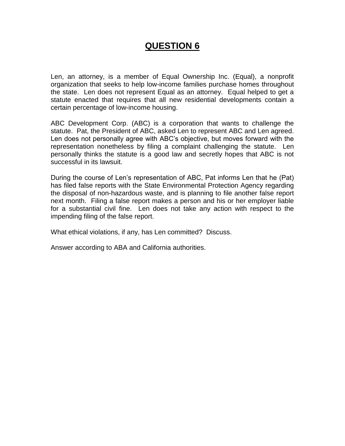# **QUESTION 6**

Len, an attorney, is a member of Equal Ownership Inc. (Equal), a nonprofit organization that seeks to help low-income families purchase homes throughout the state. Len does not represent Equal as an attorney. Equal helped to get a statute enacted that requires that all new residential developments contain a certain percentage of low-income housing.

ABC Development Corp. (ABC) is a corporation that wants to challenge the statute. Pat, the President of ABC, asked Len to represent ABC and Len agreed. Len does not personally agree with ABC's objective, but moves forward with the representation nonetheless by filing a complaint challenging the statute. Len personally thinks the statute is a good law and secretly hopes that ABC is not successful in its lawsuit.

During the course of Len's representation of ABC, Pat informs Len that he (Pat) has filed false reports with the State Environmental Protection Agency regarding the disposal of non-hazardous waste, and is planning to file another false report next month. Filing a false report makes a person and his or her employer liable for a substantial civil fine. Len does not take any action with respect to the impending filing of the false report.

What ethical violations, if any, has Len committed? Discuss.

Answer according to ABA and California authorities.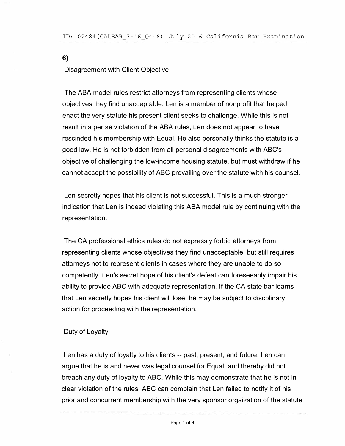Disagreement with Client Objective

**6)** 

The ABA model rules restrict attorneys from representing clients whose objectives they find unacceptable. Len is a member of nonprofit that helped enact the very statute his present client seeks to challenge. While this is not result in a per se violation of the ABA rules, Len does not appear to have rescinded his membership with Equal. He also personally thinks the statute is a good law. He is not forbidden from all personal disagreements with ABC's objective of challenging the low-income housing statute, but must withdraw if he cannot accept the possibility of ABC prevailing over the statute with his counsel.

Len secretly hopes that his client is not successful. This is a much stronger indication that Len is indeed violating this ABA model rule by continuing with the representation.

The CA professional ethics rules do not expressly forbid attorneys from representing clients whose objectives they find unacceptable, but still requires attorneys not to represent clients in cases where they are unable to do so competently. Len's secret hope of his client's defeat can foreseeably impair his ability to provide ABC with adequate representation. If the CA state bar learns that Len secretly hopes his client will lose, he may be subject to discplinary action for proceeding with the representation.

## Duty of Loyalty

Len has a duty of loyalty to his clients -- past, present, and future. Len can argue that he is and never was legal counsel for Equal, and thereby did not breach any duty of loyalty to ABC. While this may demonstrate that he is not in clear violation of the rules, ABC can complain that Len failed to notify it of his prior and concurrent membership with the very sponsor orgaization of the statute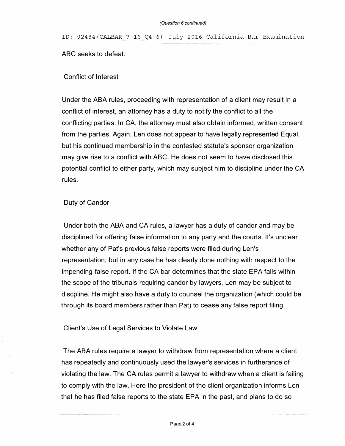ID: 02484(CALBAR\_7-16\_Q4-6) July 2016 California Bar Examination ABC seeks to defeat.

### Conflict of Interest

Under the ABA rules, proceeding with representation of a client may result in a conflict of interest, an attorney has a duty to notify the conflict to all the conflicting parties. In CA, the attorney must also obtain informed, written consent from the parties. Again, Len does not appear to have legally represented Equal, but his continued membership in the contested statute's sponsor organization may give rise to a conflict with ABC. He does not seem to have disclosed this potential conflict to either party, which may subject him to discipline under the CA rules.

### Duty of Candor

Under both the ABA and CA rules, a lawyer has a duty of candor and may be disciplined for offering false information to any party and the courts. It's unclear whether any of Pat's previous false reports were filed during Len's representation, but in any case he has clearly done nothing with respect to the impending false report. If the CA bar determines that the state EPA falls within the scope of the tribunals requiring candor by lawyers, Len may be subject to discpline. He might also have a duty to counsel the organization (which could be through its board members rather than Pat) to cease any false report filing.

### Client's Use of Legal Services to Violate Law

The ABA rules require a lawyer to withdraw from representation where a client has repeatedly and continuously used the lawyer's services in furtherance of violating the law. The CA rules permit a lawyer to withdraw when a client is failing to comply with the law. Here the president of the client organization informs Len that he has filed false reports to the state EPA in the past, and plans to do so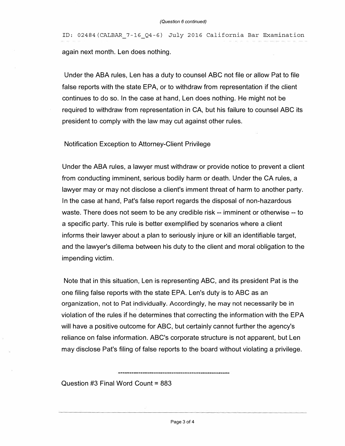ID: 02484(CALBAR\_7-16\_Q4-6) July 2016 California Bar Examination again next month. Len does nothing.

Under the ABA rules, Len has a duty to counsel ABC not file or allow Pat to file false reports with the state EPA, or to withdraw from representation if the client continues to do so. In the case at hand, Len does nothing. He might not be required to withdraw from representation in CA, but his failure to counsel ABC its president to comply with the law may cut against other rules.

Notification Exception to Attorney-Client Privilege

Under the ABA rules, a lawyer must withdraw or provide notice to prevent a client from conducting imminent, serious bodily harm or death. Under the CA rules, a lawyer may or may not disclose a client's imment threat of harm to another party. In the case at hand, Pat's false report regards the disposal of non-hazardous waste. There does not seem to be any credible risk -- imminent or otherwise -- to a specific party. This rule is better exemplified by scenarios where a client informs their lawyer about a plan to seriously injure or kill an identifiable target, and the lawyer's dillema between his duty to the client and moral obligation to the impending victim.

Note that in this situation, Len is representing ABC, and its president Pat is the one filing false reports with the state EPA. Len's duty is to ABC as an organization, not to Pat individually. Accordingly, he may not necessarily be in violation of the rules if he determines that correcting the information with the EPA will have a positive outcome for ABC, but certainly cannot further the agency's reliance on false information. ABC's corporate structure is not apparent, but Len may disclose Pat's filing of false reports to the board without violating a privilege.

Question #3 Final Word Count = 883